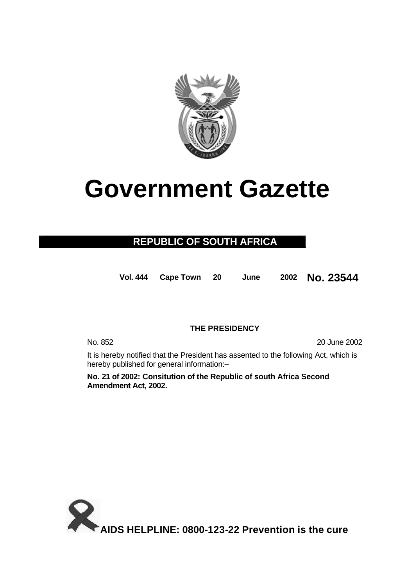

# **Government Gazette**

## **REPUBLIC OF SOUTH AFRICA**

**Vol. 444 Cape Town 20 June 2002 No. 23544**

### **THE PRESIDENCY**

No. 852 20 June 2002

It is hereby notified that the President has assented to the following Act, which is hereby published for general information:–

**No. 21 of 2002: Consitution of the Republic of south Africa Second Amendment Act, 2002.**

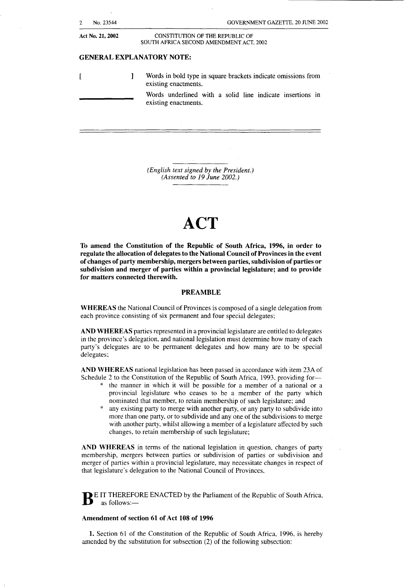| $\overline{2}$   | No. 23544 | GOVERNMENT GAZETTE, 20 JUNE 2002                                                      |
|------------------|-----------|---------------------------------------------------------------------------------------|
| Act No. 21, 2002 |           | CONSTITUTION OF THE REPUBLIC OF<br>SOUTH AFRICA SECOND AMENDMENT ACT, 2002            |
|                  |           | <b>GENERAL EXPLANATORY NOTE:</b>                                                      |
|                  |           | Words in bold type in square brackets indicate omissions from<br>existing enactments. |
|                  |           | Words underlined with a solid line indicate insertions in<br>existing enactments.     |
|                  |           |                                                                                       |
|                  |           |                                                                                       |

*(English text signed by the President.) (Assented to 19 June 2002.)* 

# **ACT**

**To amend the Constitution of the Republic of South Africa, 1996, in order to regulate the allocation of delegates to the National Council of Provinces in the event of changes of party membership, mergers between parties, subdivision of parties or subdivision and merger of parties within a provincial legislature; and to provide for matters connected therewith.** 

#### **PREAMBLE**

**WHEREAS** the National Council of Provinces is composed of a single delegation from each province consisting of six permanent and four special delegates:

**AND WHEREAS** parties represented in a provincial legislature are entitled to delegates in the province's delegation, and national legislation must determine how many of each party's delegates are to be permanent delegates and how many are to be special delegates;

**AND WHEREAS** national legislation has been passed in accordance with item 23A of Schedule 2 to the Constitution of the Republic of South Africa, 1993, providing for-

- \* the manner in which it will be possible for a member of a national or a provincial legislature who ceases to be a member of the party which nominated that member, to retain membership of such legislature: and
- any existing party to merge with another party, or any party to subdivide into more than one party, or to subdivide and any one of the subdivisions to merge with another party, whilst allowing a member of a legislature affected by such changes, to retain membership of such legislature;

**AND WHEREAS** in terms of the national legislation in question, changes of party membership, mergers between parties or subdivision of parties or subdivision and merger of parties within a provincial legislature, may necessitate changes in respect of that legislature's delegation to the National Council of Provinces,

**B** E IT THEREFORE ENACTED by the Parliament of the Republic of South Africa, as follows:-

#### **Amendment of section 61 of Act 108 of 1996**

**1.** Section 61 of the Constitution of the Republic of South Africa, 1996, is hereby amended by the substitution for subsection (2) of the following subsection: